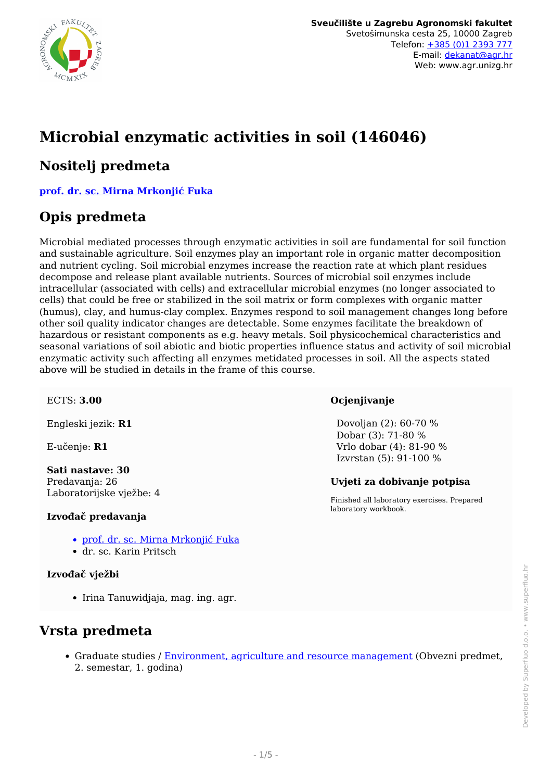

# **Microbial enzymatic activities in soil (146046)**

#### **Nositelj predmeta**

**[prof. dr. sc. Mirna Mrkonjić Fuka](/hr/member/116)**

### **Opis predmeta**

Microbial mediated processes through enzymatic activities in soil are fundamental for soil function and sustainable agriculture. Soil enzymes play an important role in organic matter decomposition and nutrient cycling. Soil microbial enzymes increase the reaction rate at which plant residues decompose and release plant available nutrients. Sources of microbial soil enzymes include intracellular (associated with cells) and extracellular microbial enzymes (no longer associated to cells) that could be free or stabilized in the soil matrix or form complexes with organic matter (humus), clay, and humus-clay complex. Enzymes respond to soil management changes long before other soil quality indicator changes are detectable. Some enzymes facilitate the breakdown of hazardous or resistant components as e.g. heavy metals. Soil physicochemical characteristics and seasonal variations of soil abiotic and biotic properties influence status and activity of soil microbial enzymatic activity such affecting all enzymes metidated processes in soil. All the aspects stated above will be studied in details in the frame of this course.

#### ECTS: **3.00**

Engleski jezik: **R1**

E-učenje: **R1**

**Sati nastave: 30** Predavanja: 26 Laboratorijske vježbe: 4

#### **Izvođač predavanja**

- [prof. dr. sc. Mirna Mrkonjić Fuka](/hr/member/116)
- dr. sc. Karin Pritsch

#### **Izvođač vježbi**

• Irina Tanuwidjaja, mag. ing. agr.

### **Vrsta predmeta**

• Graduate studies / [Environment, agriculture and resource management](/hr/study/en/3/Environment%2C+agriculture+and+resource+management) (Obvezni predmet, 2. semestar, 1. godina)

#### **Ocjenjivanje**

 Dovoljan (2): 60-70 % Dobar (3): 71-80 % Vrlo dobar (4): 81-90 % Izvrstan (5): 91-100 %

#### **Uvjeti za dobivanje potpisa**

Finished all laboratory exercises. Prepared laboratory workbook.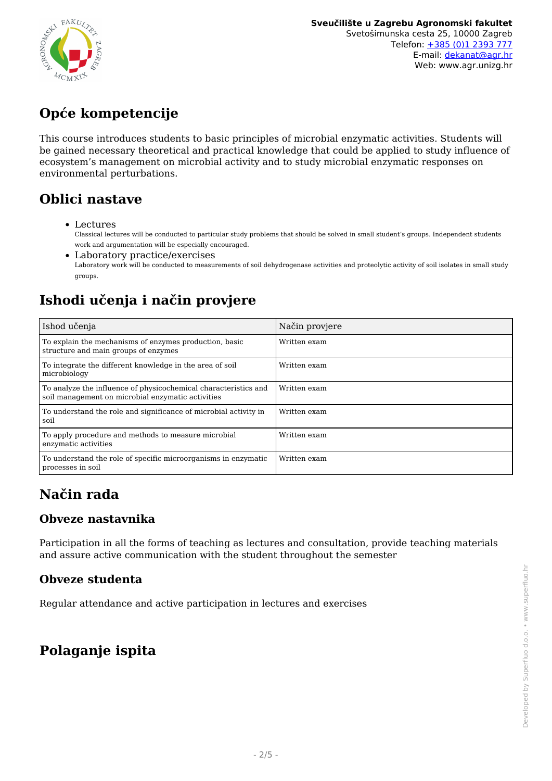

## **Opće kompetencije**

This course introduces students to basic principles of microbial enzymatic activities. Students will be gained necessary theoretical and practical knowledge that could be applied to study influence of ecosystem's management on microbial activity and to study microbial enzymatic responses on environmental perturbations.

### **Oblici nastave**

- Lectures Classical lectures will be conducted to particular study problems that should be solved in small student's groups. Independent students work and argumentation will be especially encouraged.
- Laboratory practice/exercises Laboratory work will be conducted to measurements of soil dehydrogenase activities and proteolytic activity of soil isolates in small study groups.

## **Ishodi učenja i način provjere**

| Ishod učenja                                                                                                         | Način provjere |
|----------------------------------------------------------------------------------------------------------------------|----------------|
| To explain the mechanisms of enzymes production, basic<br>structure and main groups of enzymes                       | Written exam   |
| To integrate the different knowledge in the area of soil<br>microbiology                                             | Written exam   |
| To analyze the influence of physicochemical characteristics and<br>soil management on microbial enzymatic activities | Written exam   |
| To understand the role and significance of microbial activity in<br>soil                                             | Written exam   |
| To apply procedure and methods to measure microbial<br>enzymatic activities                                          | Written exam   |
| To understand the role of specific microorganisms in enzymatic<br>processes in soil                                  | Written exam   |

## **Način rada**

#### **Obveze nastavnika**

Participation in all the forms of teaching as lectures and consultation, provide teaching materials and assure active communication with the student throughout the semester

#### **Obveze studenta**

Regular attendance and active participation in lectures and exercises

### **Polaganje ispita**

Developed by Superfluo d.o.o. • www.superfluo.hr Developed by Superfluo d.o.o. • www.superfluo.hr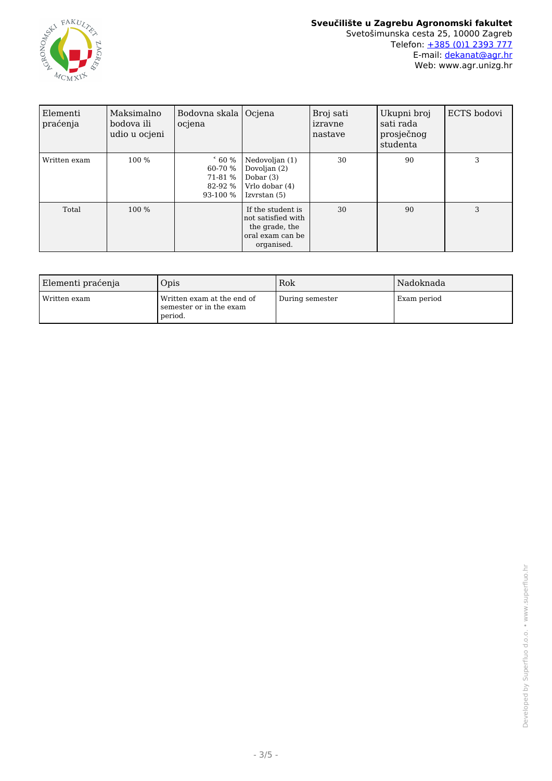

#### **Sveučilište u Zagrebu Agronomski fakultet** Svetošimunska cesta 25, 10000 Zagreb Telefon: [+385 \(0\)1 2393 777](tel:+38512393777) E-mail: [dekanat@agr.hr](mailto:dekanat@agr.hr) Web: www.agr.unizg.hr

| Elementi<br>praćenja | Maksimalno<br>bodova ili<br>udio u ocjeni | Bodovna skala  <br>ocjena                                   | Ociena                                                                                      | Broj sati<br>izravne<br>nastave | Ukupni broj<br>sati rada<br>prosječnog<br>studenta | ECTS bodovi |
|----------------------|-------------------------------------------|-------------------------------------------------------------|---------------------------------------------------------------------------------------------|---------------------------------|----------------------------------------------------|-------------|
| Written exam         | 100 %                                     | $\degree$ 60 %<br>60-70 %<br>71-81 %<br>82-92 %<br>93-100 % | Nedovoljan (1)<br>Dovoljan (2)<br>Dobar $(3)$<br>Vrlo dobar (4)<br>Izvrstan (5)             | 30                              | 90                                                 | 3           |
| Total                | 100 %                                     |                                                             | If the student is<br>not satisfied with<br>the grade, the<br>oral exam can be<br>organised. | 30                              | 90                                                 | 3           |

| Elementi praćenja | Opis                                                             | Rok             | Nadoknada   |
|-------------------|------------------------------------------------------------------|-----------------|-------------|
| l Written exam    | Written exam at the end of<br>semester or in the exam<br>period. | During semester | Exam period |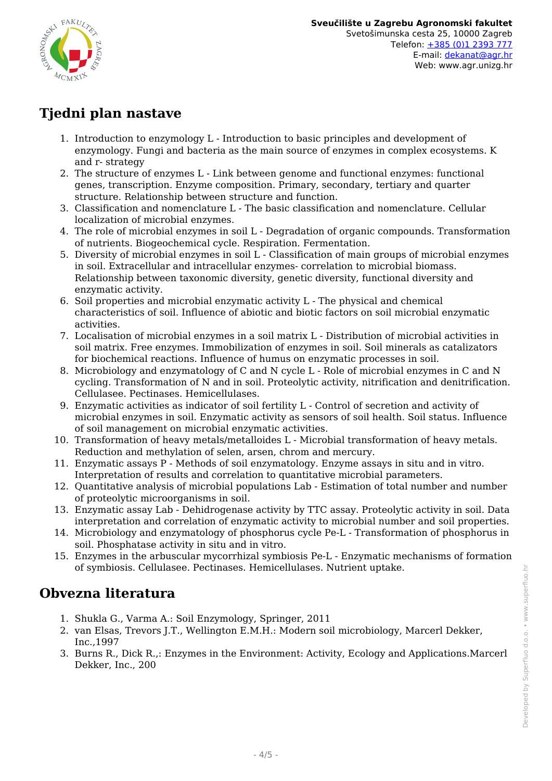

## **Tjedni plan nastave**

- 1. Introduction to enzymology L Introduction to basic principles and development of enzymology. Fungi and bacteria as the main source of enzymes in complex ecosystems. K and r- strategy
- 2. The structure of enzymes L Link between genome and functional enzymes: functional genes, transcription. Enzyme composition. Primary, secondary, tertiary and quarter structure. Relationship between structure and function.
- 3. Classification and nomenclature L The basic classification and nomenclature. Cellular localization of microbial enzymes.
- 4. The role of microbial enzymes in soil L Degradation of organic compounds. Transformation of nutrients. Biogeochemical cycle. Respiration. Fermentation.
- 5. Diversity of microbial enzymes in soil L Classification of main groups of microbial enzymes in soil. Extracellular and intracellular enzymes- correlation to microbial biomass. Relationship between taxonomic diversity, genetic diversity, functional diversity and enzymatic activity.
- 6. Soil properties and microbial enzymatic activity L The physical and chemical characteristics of soil. Influence of abiotic and biotic factors on soil microbial enzymatic activities.
- 7. Localisation of microbial enzymes in a soil matrix L Distribution of microbial activities in soil matrix. Free enzymes. Immobilization of enzymes in soil. Soil minerals as catalizators for biochemical reactions. Influence of humus on enzymatic processes in soil.
- 8. Microbiology and enzymatology of C and N cycle L Role of microbial enzymes in C and N cycling. Transformation of N and in soil. Proteolytic activity, nitrification and denitrification. Cellulasee. Pectinases. Hemicellulases.
- 9. Enzymatic activities as indicator of soil fertility L Control of secretion and activity of microbial enzymes in soil. Enzymatic activity as sensors of soil health. Soil status. Influence of soil management on microbial enzymatic activities.
- 10. Transformation of heavy metals/metalloides L Microbial transformation of heavy metals. Reduction and methylation of selen, arsen, chrom and mercury.
- 11. Enzymatic assays P Methods of soil enzymatology. Enzyme assays in situ and in vitro. Interpretation of results and correlation to quantitative microbial parameters.
- 12. Quantitative analysis of microbial populations Lab Estimation of total number and number of proteolytic microorganisms in soil.
- 13. Enzymatic assay Lab Dehidrogenase activity by TTC assay. Proteolytic activity in soil. Data interpretation and correlation of enzymatic activity to microbial number and soil properties.
- 14. Microbiology and enzymatology of phosphorus cycle Pe-L Transformation of phosphorus in soil. Phosphatase activity in situ and in vitro.
- 15. Enzymes in the arbuscular mycorrhizal symbiosis Pe-L Enzymatic mechanisms of formation of symbiosis. Cellulasee. Pectinases. Hemicellulases. Nutrient uptake.

### **Obvezna literatura**

- 1. Shukla G., Varma A.: Soil Enzymology, Springer, 2011
- 2. van Elsas, Trevors J.T., Wellington E.M.H.: Modern soil microbiology, Marcerl Dekker, Inc.,1997
- 3. Burns R., Dick R.,: Enzymes in the Environment: Activity, Ecology and Applications.Marcerl Dekker, Inc., 200